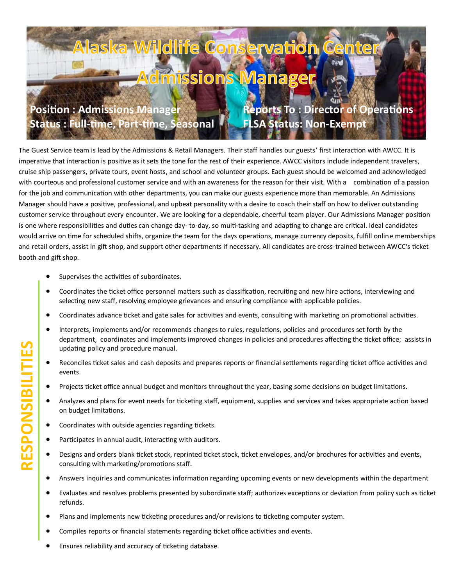## ka Wildlife Conservation **Admissions Manager Position : Admissions Manager Reports To : Director of Operations Status : Full-time, Part-time, Seasonal FLSA Status: Non-Exempt**

The Guest Service team is lead by the Admissions & Retail Managers. Their staff handles our guests' first interaction with AWCC. It is imperative that interaction is positive as it sets the tone for the rest of their experience. AWCC visitors include independent travelers, cruise ship passengers, private tours, event hosts, and school and volunteer groups. Each guest should be welcomed and acknowledged with courteous and professional customer service and with an awareness for the reason for their visit. With a combination of a passion for the job and communication with other departments, you can make our guests experience more than memorable. An Admissions Manager should have a positive, professional, and upbeat personality with a desire to coach their staff on how to deliver outstanding customer service throughout every encounter. We are looking for a dependable, cheerful team player. Our Admissions Manager position is one where responsibilities and duties can change day- to-day, so multi-tasking and adapting to change are critical. Ideal candidates would arrive on time for scheduled shifts, organize the team for the days operations, manage currency deposits, fulfill online memberships and retail orders, assist in gift shop, and support other departments if necessary. All candidates are cross-trained between AWCC's ticket booth and gift shop.

- Supervises the activities of subordinates.
- Coordinates the ticket office personnel matters such as classification, recruiting and new hire actions, interviewing and selecting new staff, resolving employee grievances and ensuring compliance with applicable policies.
- Coordinates advance ticket and gate sales for activities and events, consulting with marketing on promotional activities.
- Interprets, implements and/or recommends changes to rules, regulations, policies and procedures set forth by the department, coordinates and implements improved changes in policies and procedures affecting the ticket office; assists in updating policy and procedure manual.
- Reconciles ticket sales and cash deposits and prepares reports or financial settlements regarding ticket office activities and events.
- Projects ticket office annual budget and monitors throughout the year, basing some decisions on budget limitations.
- Analyzes and plans for event needs for ticketing staff, equipment, supplies and services and takes appropriate action based on budget limitations.
- Coordinates with outside agencies regarding tickets.
- Participates in annual audit, interacting with auditors.
- Designs and orders blank ticket stock, reprinted ticket stock, ticket envelopes, and/or brochures for activities and events, consulting with marketing/promotions staff.
- Answers inquiries and communicates information regarding upcoming events or new developments within the department
- Evaluates and resolves problems presented by subordinate staff; authorizes exceptions or deviation from policy such as ticket refunds.
- Plans and implements new ticketing procedures and/or revisions to ticketing computer system.
- Compiles reports or financial statements regarding ticket office activities and events.
- Ensures reliability and accuracy of ticketing database.